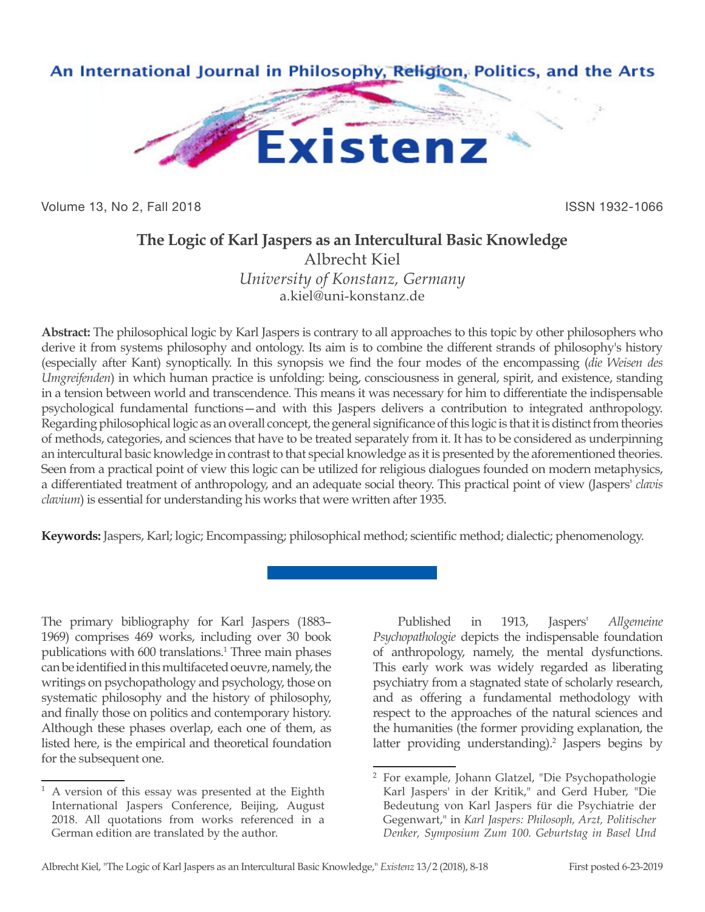

Volume 13, No 2, Fall 2018 ISSN 1932-1066

# **The Logic of Karl Jaspers as an Intercultural Basic Knowledge**

Albrecht Kiel *University of Konstanz, Germany* a.kiel@uni-konstanz.de

**Abstract:** The philosophical logic by Karl Jaspers is contrary to all approaches to this topic by other philosophers who derive it from systems philosophy and ontology. Its aim is to combine the different strands of philosophy's history (especially after Kant) synoptically. In this synopsis we find the four modes of the encompassing (*die Weisen des Umgreifenden*) in which human practice is unfolding: being, consciousness in general, spirit, and existence, standing in a tension between world and transcendence. This means it was necessary for him to differentiate the indispensable psychological fundamental functions—and with this Jaspers delivers a contribution to integrated anthropology. Regarding philosophical logic as an overall concept, the general significance of this logic is that it is distinct from theories of methods, categories, and sciences that have to be treated separately from it. It has to be considered as underpinning an intercultural basic knowledge in contrast to that special knowledge as it is presented by the aforementioned theories. Seen from a practical point of view this logic can be utilized for religious dialogues founded on modern metaphysics, a differentiated treatment of anthropology, and an adequate social theory. This practical point of view (Jaspers' *clavis clavium*) is essential for understanding his works that were written after 1935.

**Keywords:** Jaspers, Karl; logic; Encompassing; philosophical method; scientific method; dialectic; phenomenology.

The primary bibliography for Karl Jaspers (1883– 1969) comprises 469 works, including over 30 book publications with 600 translations.<sup>1</sup> Three main phases can be identified in this multifaceted oeuvre, namely, the writings on psychopathology and psychology, those on systematic philosophy and the history of philosophy, and finally those on politics and contemporary history. Although these phases overlap, each one of them, as listed here, is the empirical and theoretical foundation for the subsequent one.

Published in 1913, Jaspers' *Allgemeine Psychopathologie* depicts the indispensable foundation of anthropology, namely, the mental dysfunctions. This early work was widely regarded as liberating psychiatry from a stagnated state of scholarly research, and as offering a fundamental methodology with respect to the approaches of the natural sciences and the humanities (the former providing explanation, the latter providing understanding).<sup>2</sup> Jaspers begins by

 $1$  A version of this essay was presented at the Eighth International Jaspers Conference, Beijing, August 2018. All quotations from works referenced in a German edition are translated by the author.

<sup>2</sup> For example, Johann Glatzel, "Die Psychopathologie Karl Jaspers' in der Kritik," and Gerd Huber, "Die Bedeutung von Karl Jaspers für die Psychiatrie der Gegenwart," in *Karl Jaspers: Philosoph, Arzt, Politischer Denker, Symposium Zum 100. Geburtstag in Basel Und*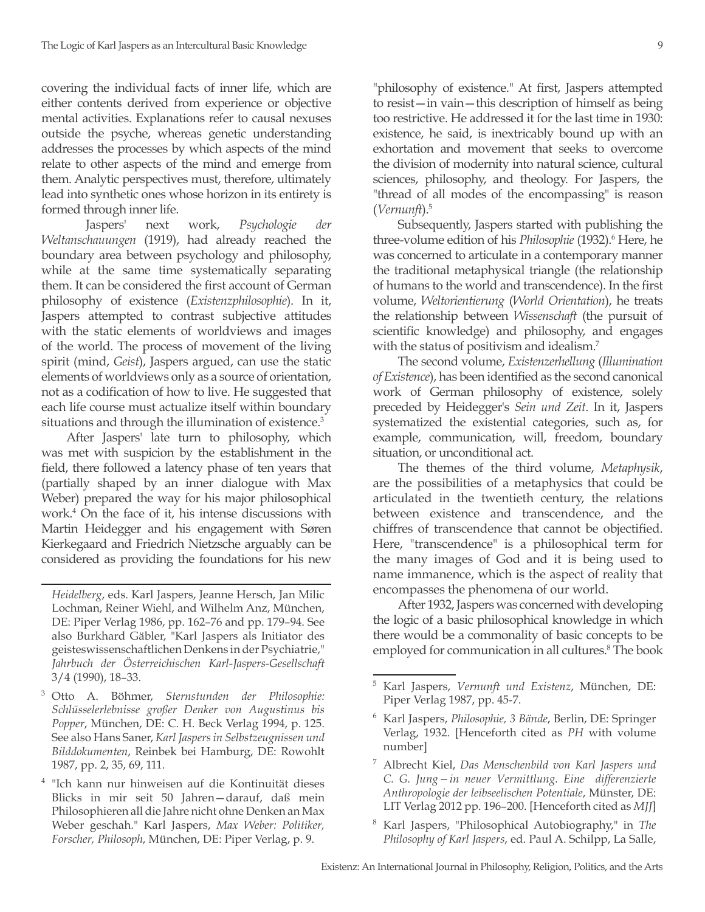covering the individual facts of inner life, which are either contents derived from experience or objective mental activities. Explanations refer to causal nexuses outside the psyche, whereas genetic understanding addresses the processes by which aspects of the mind relate to other aspects of the mind and emerge from them. Analytic perspectives must, therefore, ultimately lead into synthetic ones whose horizon in its entirety is formed through inner life.

 Jaspers' next work, *Psychologie der Weltanschauungen* (1919), had already reached the boundary area between psychology and philosophy, while at the same time systematically separating them. It can be considered the first account of German philosophy of existence (*Existenzphilosophie*). In it, Jaspers attempted to contrast subjective attitudes with the static elements of worldviews and images of the world. The process of movement of the living spirit (mind, *Geist*), Jaspers argued, can use the static elements of worldviews only as a source of orientation, not as a codification of how to live. He suggested that each life course must actualize itself within boundary situations and through the illumination of existence.<sup>3</sup>

After Jaspers' late turn to philosophy, which was met with suspicion by the establishment in the field, there followed a latency phase of ten years that (partially shaped by an inner dialogue with Max Weber) prepared the way for his major philosophical work.4 On the face of it, his intense discussions with Martin Heidegger and his engagement with Søren Kierkegaard and Friedrich Nietzsche arguably can be considered as providing the foundations for his new

- <sup>3</sup> Otto A. Böhmer, *Sternstunden der Philosophie: Schlüsselerlebnisse großer Denker von Augustinus bis Popper*, München, DE: C. H. Beck Verlag 1994, p. 125. See also Hans Saner, *Karl Jaspers in Selbstzeugnissen und Bilddokumenten*, Reinbek bei Hamburg, DE: Rowohlt 1987, pp. 2, 35, 69, 111.
- <sup>4</sup> "Ich kann nur hinweisen auf die Kontinuität dieses Blicks in mir seit 50 Jahren—darauf, daß mein Philosophieren all die Jahre nicht ohne Denken an Max Weber geschah." Karl Jaspers, *Max Weber: Politiker, Forscher, Philosoph*, München, DE: Piper Verlag, p. 9.

"philosophy of existence." At first, Jaspers attempted to resist—in vain—this description of himself as being too restrictive. He addressed it for the last time in 1930: existence, he said, is inextricably bound up with an exhortation and movement that seeks to overcome the division of modernity into natural science, cultural sciences, philosophy, and theology. For Jaspers, the "thread of all modes of the encompassing" is reason (*Vernunft*).5

Subsequently, Jaspers started with publishing the three-volume edition of his *Philosophie* (1932).<sup>6</sup> Here, he was concerned to articulate in a contemporary manner the traditional metaphysical triangle (the relationship of humans to the world and transcendence). In the first volume, *Weltorientierung* (*World Orientation*), he treats the relationship between *Wissenschaft* (the pursuit of scientific knowledge) and philosophy, and engages with the status of positivism and idealism.<sup>7</sup>

The second volume, *Existenzerhellung* (*Illumination of Existence*), has been identified as the second canonical work of German philosophy of existence, solely preceded by Heidegger's *Sein und Zeit*. In it, Jaspers systematized the existential categories, such as, for example, communication, will, freedom, boundary situation, or unconditional act.

The themes of the third volume, *Metaphysik*, are the possibilities of a metaphysics that could be articulated in the twentieth century, the relations between existence and transcendence, and the chiffres of transcendence that cannot be objectified. Here, "transcendence" is a philosophical term for the many images of God and it is being used to name immanence, which is the aspect of reality that encompasses the phenomena of our world.

After 1932, Jaspers was concerned with developing the logic of a basic philosophical knowledge in which there would be a commonality of basic concepts to be employed for communication in all cultures.<sup>8</sup> The book

- <sup>7</sup> Albrecht Kiel, *Das Menschenbild von Karl Jaspers und C. G. Jung—in neuer Vermittlung. Eine differenzierte Anthropologie der leibseelischen Potentiale*, Münster, DE: LIT Verlag 2012 pp. 196–200. [Henceforth cited as *MJJ*]
- <sup>8</sup> Karl Jaspers, "Philosophical Autobiography," in *The Philosophy of Karl Jaspers*, ed. Paul A. Schilpp, La Salle,

*Heidelberg*, eds. Karl Jaspers, Jeanne Hersch, Jan Milic Lochman, Reiner Wiehl, and Wilhelm Anz, München, DE: Piper Verlag 1986, pp. 162–76 and pp. 179–94. See also Burkhard Gäbler, "Karl Jaspers als Initiator des geisteswissenschaftlichen Denkens in der Psychiatrie," *Jahrbuch der Österreichischen Karl-Jaspers-Gesellschaft* 3/4 (1990), 18–33.

<sup>5</sup> Karl Jaspers, *Vernunft und Existenz*, München, DE: Piper Verlag 1987, pp. 45-7.

<sup>6</sup> Karl Jaspers, *Philosophie, 3 Bände*, Berlin, DE: Springer Verlag, 1932. [Henceforth cited as *PH* with volume number]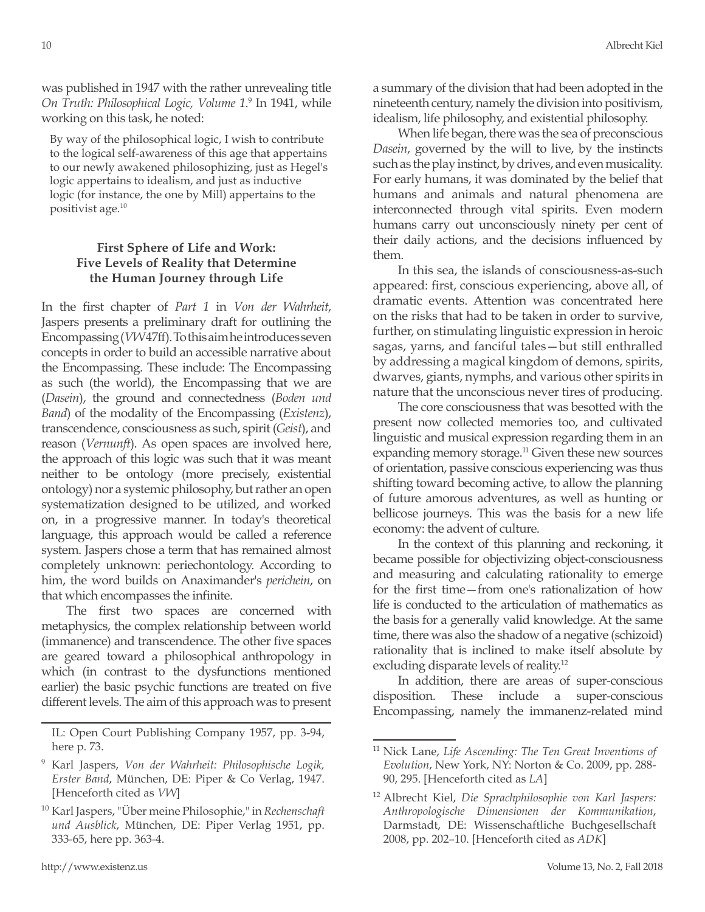was published in 1947 with the rather unrevealing title On Truth: Philosophical Logic, Volume 1.<sup>9</sup> In 1941, while working on this task, he noted:

By way of the philosophical logic, I wish to contribute to the logical self-awareness of this age that appertains to our newly awakened philosophizing, just as Hegel's logic appertains to idealism, and just as inductive logic (for instance, the one by Mill) appertains to the positivist age.10

## **First Sphere of Life and Work: Five Levels of Reality that Determine the Human Journey through Life**

In the first chapter of *Part 1* in *Von der Wahrheit*, Jaspers presents a preliminary draft for outlining the Encompassing (*VW* 47ff). To this aim he introduces seven concepts in order to build an accessible narrative about the Encompassing. These include: The Encompassing as such (the world), the Encompassing that we are (*Dasein*), the ground and connectedness (*Boden und Band*) of the modality of the Encompassing (*Existenz*), transcendence, consciousness as such, spirit (*Geist*), and reason (*Vernunft*). As open spaces are involved here, the approach of this logic was such that it was meant neither to be ontology (more precisely, existential ontology) nor a systemic philosophy, but rather an open systematization designed to be utilized, and worked on, in a progressive manner. In today's theoretical language, this approach would be called a reference system. Jaspers chose a term that has remained almost completely unknown: periechontology. According to him, the word builds on Anaximander's *perichein*, on that which encompasses the infinite.

The first two spaces are concerned with metaphysics, the complex relationship between world (immanence) and transcendence. The other five spaces are geared toward a philosophical anthropology in which (in contrast to the dysfunctions mentioned earlier) the basic psychic functions are treated on five different levels. The aim of this approach was to present a summary of the division that had been adopted in the nineteenth century, namely the division into positivism, idealism, life philosophy, and existential philosophy.

When life began, there was the sea of preconscious *Dasein*, governed by the will to live, by the instincts such as the play instinct, by drives, and even musicality. For early humans, it was dominated by the belief that humans and animals and natural phenomena are interconnected through vital spirits. Even modern humans carry out unconsciously ninety per cent of their daily actions, and the decisions influenced by them.

In this sea, the islands of consciousness-as-such appeared: first, conscious experiencing, above all, of dramatic events. Attention was concentrated here on the risks that had to be taken in order to survive, further, on stimulating linguistic expression in heroic sagas, yarns, and fanciful tales—but still enthralled by addressing a magical kingdom of demons, spirits, dwarves, giants, nymphs, and various other spirits in nature that the unconscious never tires of producing.

The core consciousness that was besotted with the present now collected memories too, and cultivated linguistic and musical expression regarding them in an expanding memory storage.<sup>11</sup> Given these new sources of orientation, passive conscious experiencing was thus shifting toward becoming active, to allow the planning of future amorous adventures, as well as hunting or bellicose journeys. This was the basis for a new life economy: the advent of culture.

In the context of this planning and reckoning, it became possible for objectivizing object-consciousness and measuring and calculating rationality to emerge for the first time—from one's rationalization of how life is conducted to the articulation of mathematics as the basis for a generally valid knowledge. At the same time, there was also the shadow of a negative (schizoid) rationality that is inclined to make itself absolute by excluding disparate levels of reality.12

In addition, there are areas of super-conscious disposition. These include a super-conscious Encompassing, namely the immanenz-related mind

IL: Open Court Publishing Company 1957, pp. 3-94, here p. 73.

<sup>9</sup> Karl Jaspers, *Von der Wahrheit: Philosophische Logik, Erster Band*, München, DE: Piper & Co Verlag, 1947. [Henceforth cited as *VW*]

<sup>10</sup> Karl Jaspers, "Über meine Philosophie," in *Rechenschaft und Ausblick*, München, DE: Piper Verlag 1951, pp. 333-65, here pp. 363-4.

<sup>11</sup> Nick Lane, *Life Ascending: The Ten Great Inventions of Evolution*, New York, NY: Norton & Co. 2009, pp. 288- 90, 295. [Henceforth cited as *LA*]

<sup>12</sup> Albrecht Kiel, *Die Sprachphilosophie von Karl Jaspers: Anthropologische Dimensionen der Kommunikation*, Darmstadt, DE: Wissenschaftliche Buchgesellschaft 2008, pp. 202–10. [Henceforth cited as *ADK*]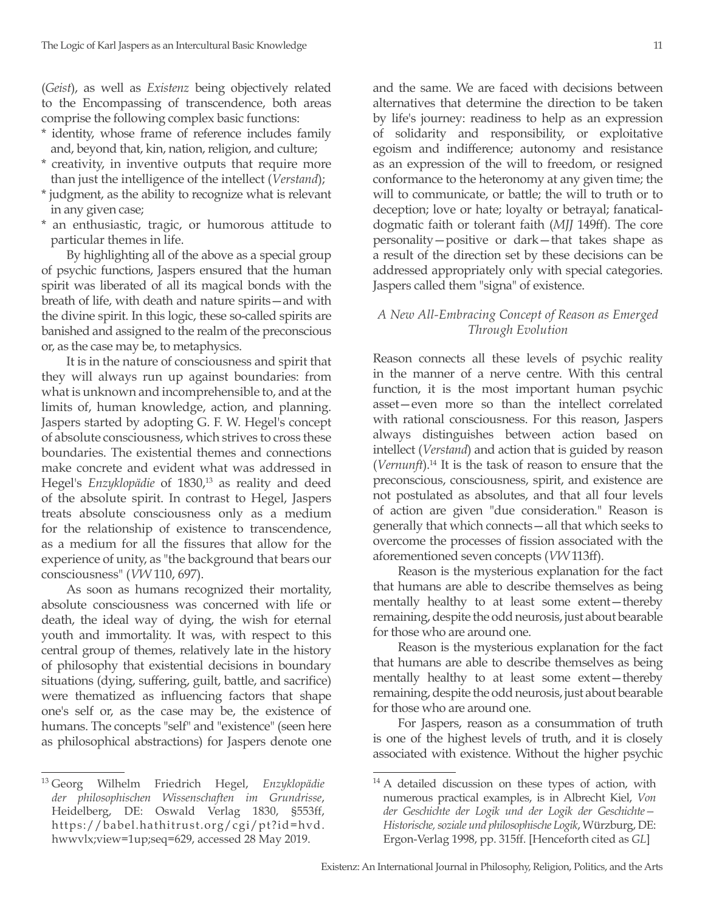(*Geist*), as well as *Existenz* being objectively related to the Encompassing of transcendence, both areas comprise the following complex basic functions:

- \* identity, whose frame of reference includes family and, beyond that, kin, nation, religion, and culture;
- \* creativity, in inventive outputs that require more than just the intelligence of the intellect (*Verstand*);
- \* judgment, as the ability to recognize what is relevant in any given case;
- \* an enthusiastic, tragic, or humorous attitude to particular themes in life.

By highlighting all of the above as a special group of psychic functions, Jaspers ensured that the human spirit was liberated of all its magical bonds with the breath of life, with death and nature spirits—and with the divine spirit. In this logic, these so-called spirits are banished and assigned to the realm of the preconscious or, as the case may be, to metaphysics.

It is in the nature of consciousness and spirit that they will always run up against boundaries: from what is unknown and incomprehensible to, and at the limits of, human knowledge, action, and planning. Jaspers started by adopting G. F. W. Hegel's concept of absolute consciousness, which strives to cross these boundaries. The existential themes and connections make concrete and evident what was addressed in Hegel's *Enzyklopädie* of 1830,<sup>13</sup> as reality and deed of the absolute spirit. In contrast to Hegel, Jaspers treats absolute consciousness only as a medium for the relationship of existence to transcendence, as a medium for all the fissures that allow for the experience of unity, as "the background that bears our consciousness" (*VW* 110, 697).

As soon as humans recognized their mortality, absolute consciousness was concerned with life or death, the ideal way of dying, the wish for eternal youth and immortality. It was, with respect to this central group of themes, relatively late in the history of philosophy that existential decisions in boundary situations (dying, suffering, guilt, battle, and sacrifice) were thematized as influencing factors that shape one's self or, as the case may be, the existence of humans. The concepts "self" and "existence" (seen here as philosophical abstractions) for Jaspers denote one and the same. We are faced with decisions between alternatives that determine the direction to be taken by life's journey: readiness to help as an expression of solidarity and responsibility, or exploitative egoism and indifference; autonomy and resistance as an expression of the will to freedom, or resigned conformance to the heteronomy at any given time; the will to communicate, or battle; the will to truth or to deception; love or hate; loyalty or betrayal; fanaticaldogmatic faith or tolerant faith (*MJJ* 149ff). The core personality—positive or dark—that takes shape as a result of the direction set by these decisions can be addressed appropriately only with special categories. Jaspers called them "signa" of existence.

#### *A New All-Embracing Concept of Reason as Emerged Through Evolution*

Reason connects all these levels of psychic reality in the manner of a nerve centre. With this central function, it is the most important human psychic asset—even more so than the intellect correlated with rational consciousness. For this reason, Jaspers always distinguishes between action based on intellect (*Verstand*) and action that is guided by reason (*Vernunft*).14 It is the task of reason to ensure that the preconscious, consciousness, spirit, and existence are not postulated as absolutes, and that all four levels of action are given "due consideration." Reason is generally that which connects—all that which seeks to overcome the processes of fission associated with the aforementioned seven concepts (*VW* 113ff).

Reason is the mysterious explanation for the fact that humans are able to describe themselves as being mentally healthy to at least some extent—thereby remaining, despite the odd neurosis, just about bearable for those who are around one.

Reason is the mysterious explanation for the fact that humans are able to describe themselves as being mentally healthy to at least some extent—thereby remaining, despite the odd neurosis, just about bearable for those who are around one.

For Jaspers, reason as a consummation of truth is one of the highest levels of truth, and it is closely associated with existence. Without the higher psychic

<sup>13</sup> Georg Wilhelm Friedrich Hegel, *Enzyklopädie der philosophischen Wissenschaften im Grundrisse*, Heidelberg, DE: Oswald Verlag 1830, §553ff, https://babel.hathitrust.org/cgi/pt?id=hvd. hwwvlx;view=1up;seq=629, accessed 28 May 2019.

<sup>&</sup>lt;sup>14</sup> A detailed discussion on these types of action, with numerous practical examples, is in Albrecht Kiel, *Von der Geschichte der Logik und der Logik der Geschichte— Historische, soziale und philosophische Logik*, Würzburg, DE: Ergon-Verlag 1998, pp. 315ff. [Henceforth cited as *GL*]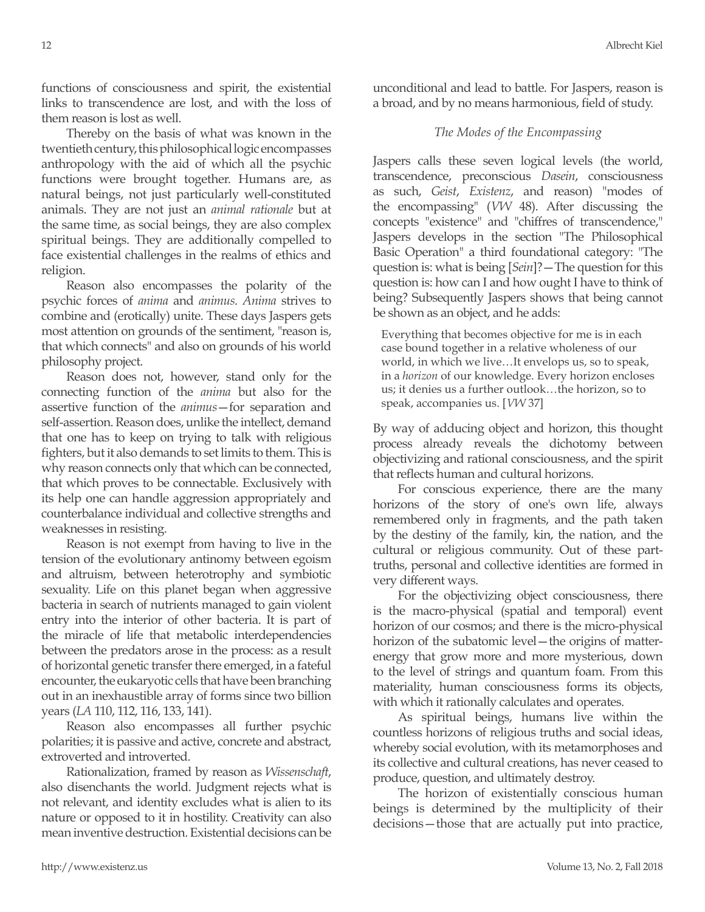functions of consciousness and spirit, the existential links to transcendence are lost, and with the loss of them reason is lost as well.

Thereby on the basis of what was known in the twentieth century, this philosophical logic encompasses anthropology with the aid of which all the psychic functions were brought together. Humans are, as natural beings, not just particularly well-constituted animals. They are not just an *animal rationale* but at the same time, as social beings, they are also complex spiritual beings. They are additionally compelled to face existential challenges in the realms of ethics and religion.

Reason also encompasses the polarity of the psychic forces of *anima* and *animus*. *Anima* strives to combine and (erotically) unite. These days Jaspers gets most attention on grounds of the sentiment, "reason is, that which connects" and also on grounds of his world philosophy project.

Reason does not, however, stand only for the connecting function of the *anima* but also for the assertive function of the *animus*—for separation and self-assertion. Reason does, unlike the intellect, demand that one has to keep on trying to talk with religious fighters, but it also demands to set limits to them. This is why reason connects only that which can be connected, that which proves to be connectable. Exclusively with its help one can handle aggression appropriately and counterbalance individual and collective strengths and weaknesses in resisting.

Reason is not exempt from having to live in the tension of the evolutionary antinomy between egoism and altruism, between heterotrophy and symbiotic sexuality. Life on this planet began when aggressive bacteria in search of nutrients managed to gain violent entry into the interior of other bacteria. It is part of the miracle of life that metabolic interdependencies between the predators arose in the process: as a result of horizontal genetic transfer there emerged, in a fateful encounter, the eukaryotic cells that have been branching out in an inexhaustible array of forms since two billion years (*LA* 110, 112, 116, 133, 141).

Reason also encompasses all further psychic polarities; it is passive and active, concrete and abstract, extroverted and introverted.

Rationalization, framed by reason as *Wissenschaft*, also disenchants the world. Judgment rejects what is not relevant, and identity excludes what is alien to its nature or opposed to it in hostility. Creativity can also mean inventive destruction. Existential decisions can be unconditional and lead to battle. For Jaspers, reason is a broad, and by no means harmonious, field of study.

## *The Modes of the Encompassing*

Jaspers calls these seven logical levels (the world, transcendence, preconscious *Dasein*, consciousness as such, *Geist*, *Existenz*, and reason) "modes of the encompassing" (*VW* 48). After discussing the concepts "existence" and "chiffres of transcendence," Jaspers develops in the section "The Philosophical Basic Operation" a third foundational category: "The question is: what is being [*Sein*]?—The question for this question is: how can I and how ought I have to think of being? Subsequently Jaspers shows that being cannot be shown as an object, and he adds:

Everything that becomes objective for me is in each case bound together in a relative wholeness of our world, in which we live…It envelops us, so to speak, in a *horizon* of our knowledge. Every horizon encloses us; it denies us a further outlook…the horizon, so to speak, accompanies us. [*VW* 37]

By way of adducing object and horizon, this thought process already reveals the dichotomy between objectivizing and rational consciousness, and the spirit that reflects human and cultural horizons.

For conscious experience, there are the many horizons of the story of one's own life, always remembered only in fragments, and the path taken by the destiny of the family, kin, the nation, and the cultural or religious community. Out of these parttruths, personal and collective identities are formed in very different ways.

For the objectivizing object consciousness, there is the macro-physical (spatial and temporal) event horizon of our cosmos; and there is the micro-physical horizon of the subatomic level—the origins of matterenergy that grow more and more mysterious, down to the level of strings and quantum foam. From this materiality, human consciousness forms its objects, with which it rationally calculates and operates.

As spiritual beings, humans live within the countless horizons of religious truths and social ideas, whereby social evolution, with its metamorphoses and its collective and cultural creations, has never ceased to produce, question, and ultimately destroy.

The horizon of existentially conscious human beings is determined by the multiplicity of their decisions—those that are actually put into practice,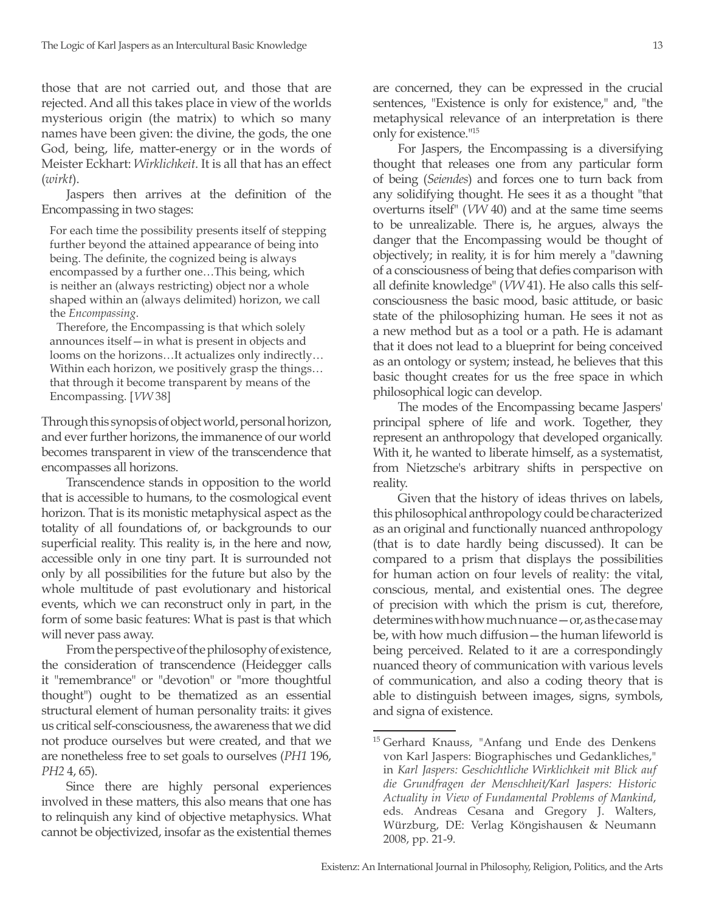those that are not carried out, and those that are rejected. And all this takes place in view of the worlds mysterious origin (the matrix) to which so many names have been given: the divine, the gods, the one God, being, life, matter-energy or in the words of Meister Eckhart: *Wirklichkeit*. It is all that has an effect (*wirkt*).

Jaspers then arrives at the definition of the Encompassing in two stages:

For each time the possibility presents itself of stepping further beyond the attained appearance of being into being. The definite, the cognized being is always encompassed by a further one…This being, which is neither an (always restricting) object nor a whole shaped within an (always delimited) horizon, we call the *Encompassing*.

Therefore, the Encompassing is that which solely announces itself—in what is present in objects and looms on the horizons…It actualizes only indirectly… Within each horizon, we positively grasp the things… that through it become transparent by means of the Encompassing. [*VW* 38]

Through this synopsis of object world, personal horizon, and ever further horizons, the immanence of our world becomes transparent in view of the transcendence that encompasses all horizons.

Transcendence stands in opposition to the world that is accessible to humans, to the cosmological event horizon. That is its monistic metaphysical aspect as the totality of all foundations of, or backgrounds to our superficial reality. This reality is, in the here and now, accessible only in one tiny part. It is surrounded not only by all possibilities for the future but also by the whole multitude of past evolutionary and historical events, which we can reconstruct only in part, in the form of some basic features: What is past is that which will never pass away.

From the perspective of the philosophy of existence, the consideration of transcendence (Heidegger calls it "remembrance" or "devotion" or "more thoughtful thought") ought to be thematized as an essential structural element of human personality traits: it gives us critical self-consciousness, the awareness that we did not produce ourselves but were created, and that we are nonetheless free to set goals to ourselves (*PH1* 196, *PH2* 4, 65).

Since there are highly personal experiences involved in these matters, this also means that one has to relinquish any kind of objective metaphysics. What cannot be objectivized, insofar as the existential themes are concerned, they can be expressed in the crucial sentences, "Existence is only for existence," and, "the metaphysical relevance of an interpretation is there only for existence."15

For Jaspers, the Encompassing is a diversifying thought that releases one from any particular form of being (*Seiendes*) and forces one to turn back from any solidifying thought. He sees it as a thought "that overturns itself" (*VW* 40) and at the same time seems to be unrealizable. There is, he argues, always the danger that the Encompassing would be thought of objectively; in reality, it is for him merely a "dawning of a consciousness of being that defies comparison with all definite knowledge" (*VW* 41). He also calls this selfconsciousness the basic mood, basic attitude, or basic state of the philosophizing human. He sees it not as a new method but as a tool or a path. He is adamant that it does not lead to a blueprint for being conceived as an ontology or system; instead, he believes that this basic thought creates for us the free space in which philosophical logic can develop.

The modes of the Encompassing became Jaspers' principal sphere of life and work. Together, they represent an anthropology that developed organically. With it, he wanted to liberate himself, as a systematist, from Nietzsche's arbitrary shifts in perspective on reality.

Given that the history of ideas thrives on labels, this philosophical anthropology could be characterized as an original and functionally nuanced anthropology (that is to date hardly being discussed). It can be compared to a prism that displays the possibilities for human action on four levels of reality: the vital, conscious, mental, and existential ones. The degree of precision with which the prism is cut, therefore, determines with how much nuance—or, as the case may be, with how much diffusion—the human lifeworld is being perceived. Related to it are a correspondingly nuanced theory of communication with various levels of communication, and also a coding theory that is able to distinguish between images, signs, symbols, and signa of existence.

<sup>&</sup>lt;sup>15</sup> Gerhard Knauss, "Anfang und Ende des Denkens von Karl Jaspers: Biographisches und Gedankliches," in *Karl Jaspers: Geschichtliche Wirklichkeit mit Blick auf die Grundfragen der Menschheit/Karl Jaspers: Historic Actuality in View of Fundamental Problems of Mankind*, eds. Andreas Cesana and Gregory J. Walters, Würzburg, DE: Verlag Köngishausen & Neumann 2008, pp. 21-9.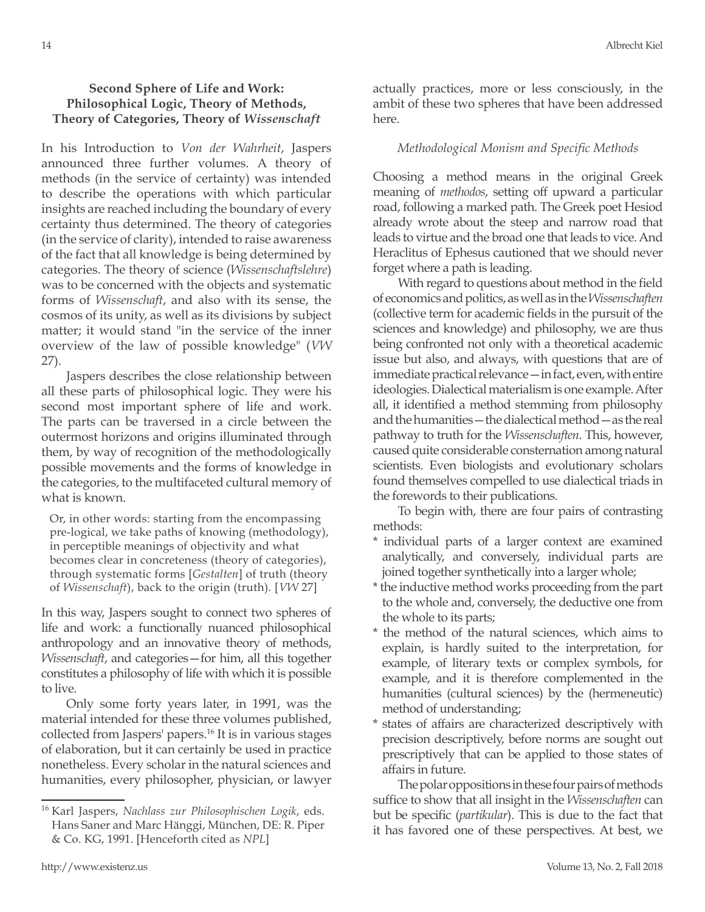### **Second Sphere of Life and Work: Philosophical Logic, Theory of Methods, Theory of Categories, Theory of** *Wissenschaft*

In his Introduction to *Von der Wahrheit*, Jaspers announced three further volumes. A theory of methods (in the service of certainty) was intended to describe the operations with which particular insights are reached including the boundary of every certainty thus determined. The theory of categories (in the service of clarity), intended to raise awareness of the fact that all knowledge is being determined by categories. The theory of science (*Wissenschaftslehre*) was to be concerned with the objects and systematic forms of *Wissenschaft*, and also with its sense, the cosmos of its unity, as well as its divisions by subject matter; it would stand "in the service of the inner overview of the law of possible knowledge" (*VW* 27).

Jaspers describes the close relationship between all these parts of philosophical logic. They were his second most important sphere of life and work. The parts can be traversed in a circle between the outermost horizons and origins illuminated through them, by way of recognition of the methodologically possible movements and the forms of knowledge in the categories, to the multifaceted cultural memory of what is known.

Or, in other words: starting from the encompassing pre-logical, we take paths of knowing (methodology), in perceptible meanings of objectivity and what becomes clear in concreteness (theory of categories), through systematic forms [*Gestalten*] of truth (theory of *Wissenschaft*), back to the origin (truth). [*VW* 27]

In this way, Jaspers sought to connect two spheres of life and work: a functionally nuanced philosophical anthropology and an innovative theory of methods, *Wissenschaft*, and categories—for him, all this together constitutes a philosophy of life with which it is possible to live.

Only some forty years later, in 1991, was the material intended for these three volumes published, collected from Jaspers' papers.16 It is in various stages of elaboration, but it can certainly be used in practice nonetheless. Every scholar in the natural sciences and humanities, every philosopher, physician, or lawyer actually practices, more or less consciously, in the ambit of these two spheres that have been addressed here.

#### *Methodological Monism and Specific Methods*

Choosing a method means in the original Greek meaning of *methodos*, setting off upward a particular road, following a marked path. The Greek poet Hesiod already wrote about the steep and narrow road that leads to virtue and the broad one that leads to vice. And Heraclitus of Ephesus cautioned that we should never forget where a path is leading.

With regard to questions about method in the field of economics and politics, as well as in the *Wissenschaften* (collective term for academic fields in the pursuit of the sciences and knowledge) and philosophy, we are thus being confronted not only with a theoretical academic issue but also, and always, with questions that are of immediate practical relevance—in fact, even, with entire ideologies. Dialectical materialism is one example. After all, it identified a method stemming from philosophy and the humanities—the dialectical method—as the real pathway to truth for the *Wissenschaften*. This, however, caused quite considerable consternation among natural scientists. Even biologists and evolutionary scholars found themselves compelled to use dialectical triads in the forewords to their publications.

To begin with, there are four pairs of contrasting methods:

- \* individual parts of a larger context are examined analytically, and conversely, individual parts are joined together synthetically into a larger whole;
- \* the inductive method works proceeding from the part to the whole and, conversely, the deductive one from the whole to its parts;
- \* the method of the natural sciences, which aims to explain, is hardly suited to the interpretation, for example, of literary texts or complex symbols, for example, and it is therefore complemented in the humanities (cultural sciences) by the (hermeneutic) method of understanding;
- \* states of affairs are characterized descriptively with precision descriptively, before norms are sought out prescriptively that can be applied to those states of affairs in future.

The polar oppositions in these four pairs of methods suffice to show that all insight in the *Wissenschaften* can but be specific (*partikular*). This is due to the fact that it has favored one of these perspectives. At best, we

<sup>16</sup> Karl Jaspers, *Nachlass zur Philosophischen Logik*, eds. Hans Saner and Marc Hänggi, München, DE: R. Piper & Co. KG, 1991. [Henceforth cited as *NPL*]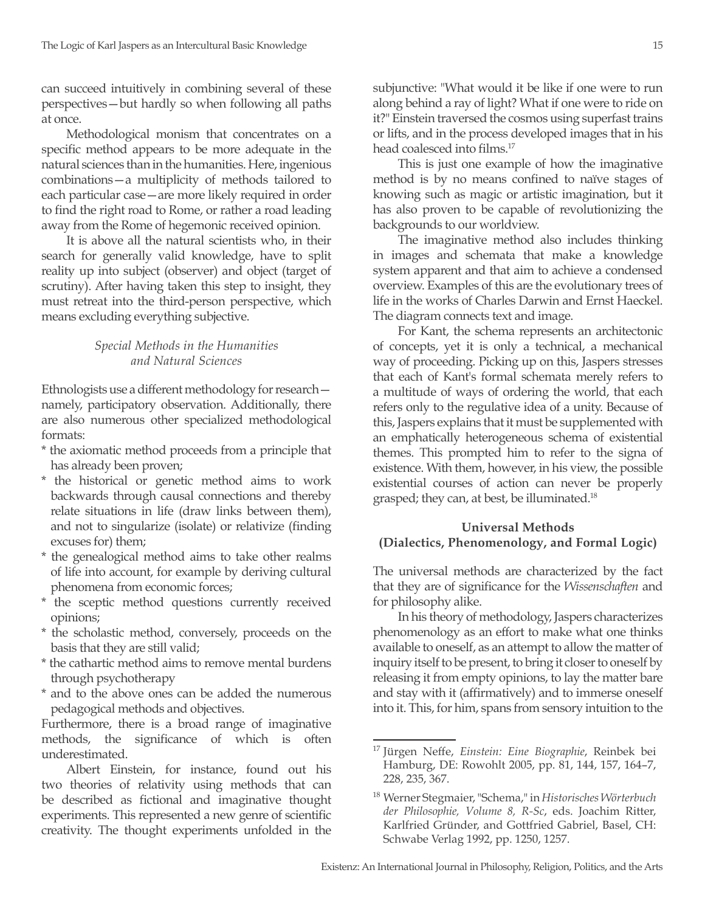can succeed intuitively in combining several of these perspectives—but hardly so when following all paths at once.

Methodological monism that concentrates on a specific method appears to be more adequate in the natural sciences than in the humanities. Here, ingenious combinations—a multiplicity of methods tailored to each particular case—are more likely required in order to find the right road to Rome, or rather a road leading away from the Rome of hegemonic received opinion.

It is above all the natural scientists who, in their search for generally valid knowledge, have to split reality up into subject (observer) and object (target of scrutiny). After having taken this step to insight, they must retreat into the third-person perspective, which means excluding everything subjective.

#### *Special Methods in the Humanities and Natural Sciences*

Ethnologists use a different methodology for research namely, participatory observation. Additionally, there are also numerous other specialized methodological formats:

- \* the axiomatic method proceeds from a principle that has already been proven;
- \* the historical or genetic method aims to work backwards through causal connections and thereby relate situations in life (draw links between them), and not to singularize (isolate) or relativize (finding excuses for) them;
- \* the genealogical method aims to take other realms of life into account, for example by deriving cultural phenomena from economic forces;
- \* the sceptic method questions currently received opinions;
- \* the scholastic method, conversely, proceeds on the basis that they are still valid;
- \* the cathartic method aims to remove mental burdens through psychotherapy
- \* and to the above ones can be added the numerous pedagogical methods and objectives.

Furthermore, there is a broad range of imaginative methods, the significance of which is often underestimated.

Albert Einstein, for instance, found out his two theories of relativity using methods that can be described as fictional and imaginative thought experiments. This represented a new genre of scientific creativity. The thought experiments unfolded in the subjunctive: "What would it be like if one were to run along behind a ray of light? What if one were to ride on it?" Einstein traversed the cosmos using superfast trains or lifts, and in the process developed images that in his head coalesced into films.<sup>17</sup>

This is just one example of how the imaginative method is by no means confined to naïve stages of knowing such as magic or artistic imagination, but it has also proven to be capable of revolutionizing the backgrounds to our worldview.

The imaginative method also includes thinking in images and schemata that make a knowledge system apparent and that aim to achieve a condensed overview. Examples of this are the evolutionary trees of life in the works of Charles Darwin and Ernst Haeckel. The diagram connects text and image.

For Kant, the schema represents an architectonic of concepts, yet it is only a technical, a mechanical way of proceeding. Picking up on this, Jaspers stresses that each of Kant's formal schemata merely refers to a multitude of ways of ordering the world, that each refers only to the regulative idea of a unity. Because of this, Jaspers explains that it must be supplemented with an emphatically heterogeneous schema of existential themes. This prompted him to refer to the signa of existence. With them, however, in his view, the possible existential courses of action can never be properly grasped; they can, at best, be illuminated.18

## **Universal Methods (Dialectics, Phenomenology, and Formal Logic)**

The universal methods are characterized by the fact that they are of significance for the *Wissenschaften* and for philosophy alike.

In his theory of methodology, Jaspers characterizes phenomenology as an effort to make what one thinks available to oneself, as an attempt to allow the matter of inquiry itself to be present, to bring it closer to oneself by releasing it from empty opinions, to lay the matter bare and stay with it (affirmatively) and to immerse oneself into it. This, for him, spans from sensory intuition to the

<sup>17</sup> Jürgen Neffe, *Einstein: Eine Biographie*, Reinbek bei Hamburg, DE: Rowohlt 2005, pp. 81, 144, 157, 164–7, 228, 235, 367.

<sup>18</sup> Werner Stegmaier, "Schema," in *Historisches Wörterbuch der Philosophie, Volume 8, R-Sc*, eds. Joachim Ritter, Karlfried Gründer, and Gottfried Gabriel, Basel, CH: Schwabe Verlag 1992, pp. 1250, 1257.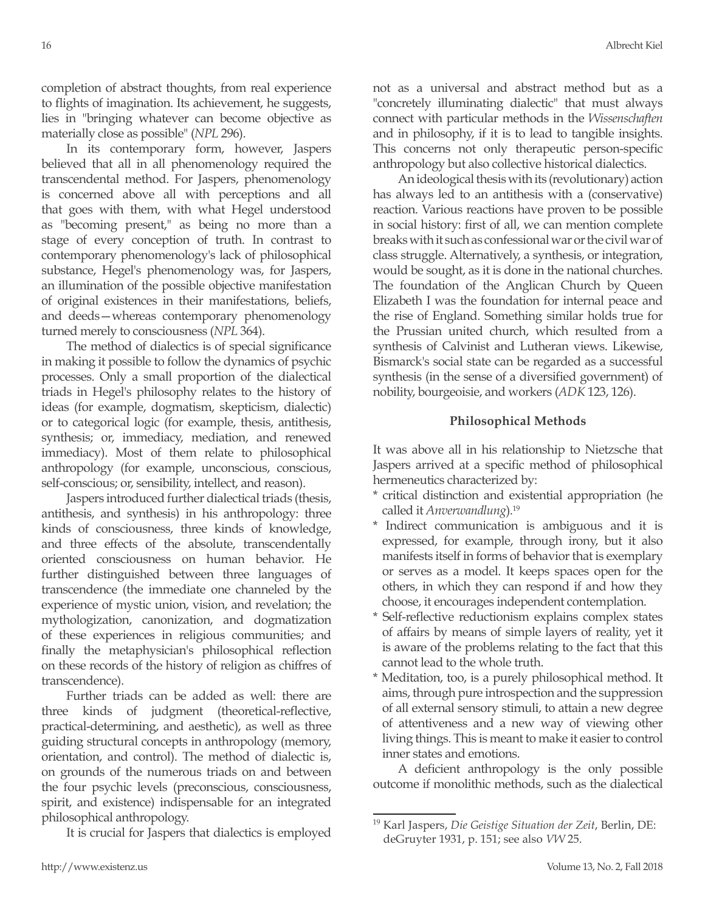completion of abstract thoughts, from real experience to flights of imagination. Its achievement, he suggests, lies in "bringing whatever can become objective as materially close as possible" (*NPL* 296).

In its contemporary form, however, Jaspers believed that all in all phenomenology required the transcendental method. For Jaspers, phenomenology is concerned above all with perceptions and all that goes with them, with what Hegel understood as "becoming present," as being no more than a stage of every conception of truth. In contrast to contemporary phenomenology's lack of philosophical substance, Hegel's phenomenology was, for Jaspers, an illumination of the possible objective manifestation of original existences in their manifestations, beliefs, and deeds—whereas contemporary phenomenology turned merely to consciousness (*NPL* 364).

The method of dialectics is of special significance in making it possible to follow the dynamics of psychic processes. Only a small proportion of the dialectical triads in Hegel's philosophy relates to the history of ideas (for example, dogmatism, skepticism, dialectic) or to categorical logic (for example, thesis, antithesis, synthesis; or, immediacy, mediation, and renewed immediacy). Most of them relate to philosophical anthropology (for example, unconscious, conscious, self-conscious; or, sensibility, intellect, and reason).

Jaspers introduced further dialectical triads (thesis, antithesis, and synthesis) in his anthropology: three kinds of consciousness, three kinds of knowledge, and three effects of the absolute, transcendentally oriented consciousness on human behavior. He further distinguished between three languages of transcendence (the immediate one channeled by the experience of mystic union, vision, and revelation; the mythologization, canonization, and dogmatization of these experiences in religious communities; and finally the metaphysician's philosophical reflection on these records of the history of religion as chiffres of transcendence).

Further triads can be added as well: there are three kinds of judgment (theoretical-reflective, practical-determining, and aesthetic), as well as three guiding structural concepts in anthropology (memory, orientation, and control). The method of dialectic is, on grounds of the numerous triads on and between the four psychic levels (preconscious, consciousness, spirit, and existence) indispensable for an integrated philosophical anthropology.

It is crucial for Jaspers that dialectics is employed

not as a universal and abstract method but as a "concretely illuminating dialectic" that must always connect with particular methods in the *Wissenschaften*  and in philosophy, if it is to lead to tangible insights. This concerns not only therapeutic person-specific anthropology but also collective historical dialectics.

An ideological thesis with its (revolutionary) action has always led to an antithesis with a (conservative) reaction. Various reactions have proven to be possible in social history: first of all, we can mention complete breaks with it such as confessional war or the civil war of class struggle. Alternatively, a synthesis, or integration, would be sought, as it is done in the national churches. The foundation of the Anglican Church by Queen Elizabeth I was the foundation for internal peace and the rise of England. Something similar holds true for the Prussian united church, which resulted from a synthesis of Calvinist and Lutheran views. Likewise, Bismarck's social state can be regarded as a successful synthesis (in the sense of a diversified government) of nobility, bourgeoisie, and workers (*ADK* 123, 126).

## **Philosophical Methods**

It was above all in his relationship to Nietzsche that Jaspers arrived at a specific method of philosophical hermeneutics characterized by:

- \* critical distinction and existential appropriation (he called it *Anverwandlung*).19
- \* Indirect communication is ambiguous and it is expressed, for example, through irony, but it also manifests itself in forms of behavior that is exemplary or serves as a model. It keeps spaces open for the others, in which they can respond if and how they choose, it encourages independent contemplation.
- \* Self-reflective reductionism explains complex states of affairs by means of simple layers of reality, yet it is aware of the problems relating to the fact that this cannot lead to the whole truth.
- Meditation, too, is a purely philosophical method. It aims, through pure introspection and the suppression of all external sensory stimuli, to attain a new degree of attentiveness and a new way of viewing other living things. This is meant to make it easier to control inner states and emotions.

A deficient anthropology is the only possible outcome if monolithic methods, such as the dialectical

<sup>19</sup> Karl Jaspers, *Die Geistige Situation der Zeit*, Berlin, DE: deGruyter 1931, p. 151; see also *VW* 25.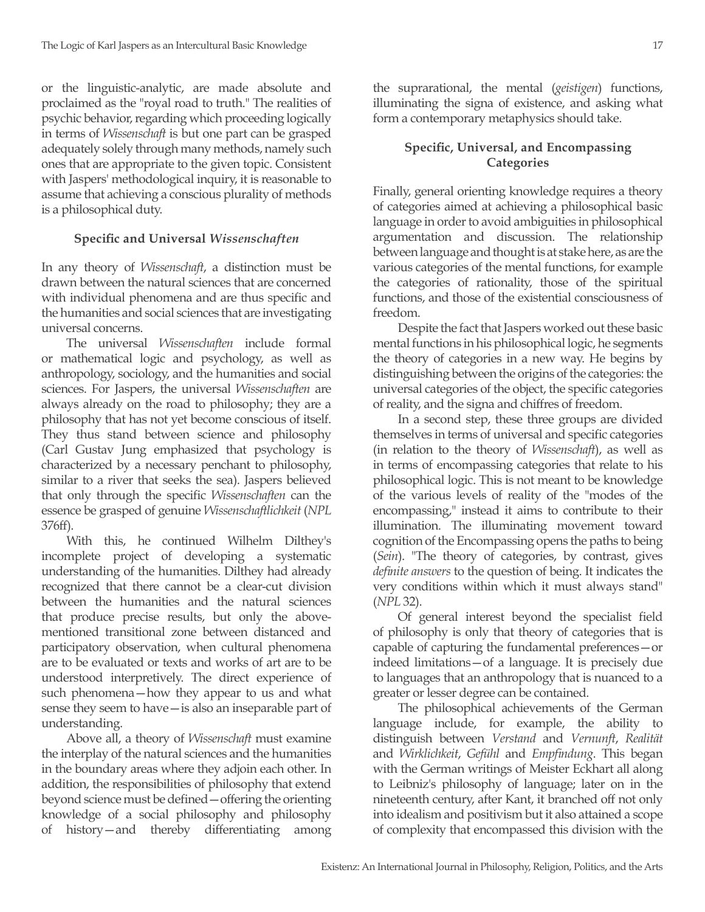or the linguistic-analytic, are made absolute and proclaimed as the "royal road to truth." The realities of psychic behavior, regarding which proceeding logically in terms of *Wissenschaft* is but one part can be grasped adequately solely through many methods, namely such ones that are appropriate to the given topic. Consistent with Jaspers' methodological inquiry, it is reasonable to assume that achieving a conscious plurality of methods is a philosophical duty.

## **Specific and Universal** *Wissenschaften*

In any theory of *Wissenschaft*, a distinction must be drawn between the natural sciences that are concerned with individual phenomena and are thus specific and the humanities and social sciences that are investigating universal concerns.

The universal *Wissenschaften* include formal or mathematical logic and psychology, as well as anthropology, sociology, and the humanities and social sciences. For Jaspers, the universal *Wissenschaften* are always already on the road to philosophy; they are a philosophy that has not yet become conscious of itself. They thus stand between science and philosophy (Carl Gustav Jung emphasized that psychology is characterized by a necessary penchant to philosophy, similar to a river that seeks the sea). Jaspers believed that only through the specific *Wissenschaften* can the essence be grasped of genuine *Wissenschaftlichkeit* (*NPL* 376ff).

With this, he continued Wilhelm Dilthey's incomplete project of developing a systematic understanding of the humanities. Dilthey had already recognized that there cannot be a clear-cut division between the humanities and the natural sciences that produce precise results, but only the abovementioned transitional zone between distanced and participatory observation, when cultural phenomena are to be evaluated or texts and works of art are to be understood interpretively. The direct experience of such phenomena—how they appear to us and what sense they seem to have—is also an inseparable part of understanding.

Above all, a theory of *Wissenschaft* must examine the interplay of the natural sciences and the humanities in the boundary areas where they adjoin each other. In addition, the responsibilities of philosophy that extend beyond science must be defined—offering the orienting knowledge of a social philosophy and philosophy of history—and thereby differentiating among the suprarational, the mental (*geistigen*) functions, illuminating the signa of existence, and asking what form a contemporary metaphysics should take.

## **Specific, Universal, and Encompassing Categories**

Finally, general orienting knowledge requires a theory of categories aimed at achieving a philosophical basic language in order to avoid ambiguities in philosophical argumentation and discussion. The relationship between language and thought is at stake here, as are the various categories of the mental functions, for example the categories of rationality, those of the spiritual functions, and those of the existential consciousness of freedom.

Despite the fact that Jaspers worked out these basic mental functions in his philosophical logic, he segments the theory of categories in a new way. He begins by distinguishing between the origins of the categories: the universal categories of the object, the specific categories of reality, and the signa and chiffres of freedom.

In a second step, these three groups are divided themselves in terms of universal and specific categories (in relation to the theory of *Wissenschaft*), as well as in terms of encompassing categories that relate to his philosophical logic. This is not meant to be knowledge of the various levels of reality of the "modes of the encompassing," instead it aims to contribute to their illumination. The illuminating movement toward cognition of the Encompassing opens the paths to being (*Sein*). "The theory of categories, by contrast, gives *definite answers* to the question of being. It indicates the very conditions within which it must always stand" (*NPL* 32).

Of general interest beyond the specialist field of philosophy is only that theory of categories that is capable of capturing the fundamental preferences—or indeed limitations—of a language. It is precisely due to languages that an anthropology that is nuanced to a greater or lesser degree can be contained.

The philosophical achievements of the German language include, for example, the ability to distinguish between *Verstand* and *Vernunft*, *Realität*  and *Wirklichkeit*, *Gefühl* and *Empfindung*. This began with the German writings of Meister Eckhart all along to Leibniz's philosophy of language; later on in the nineteenth century, after Kant, it branched off not only into idealism and positivism but it also attained a scope of complexity that encompassed this division with the